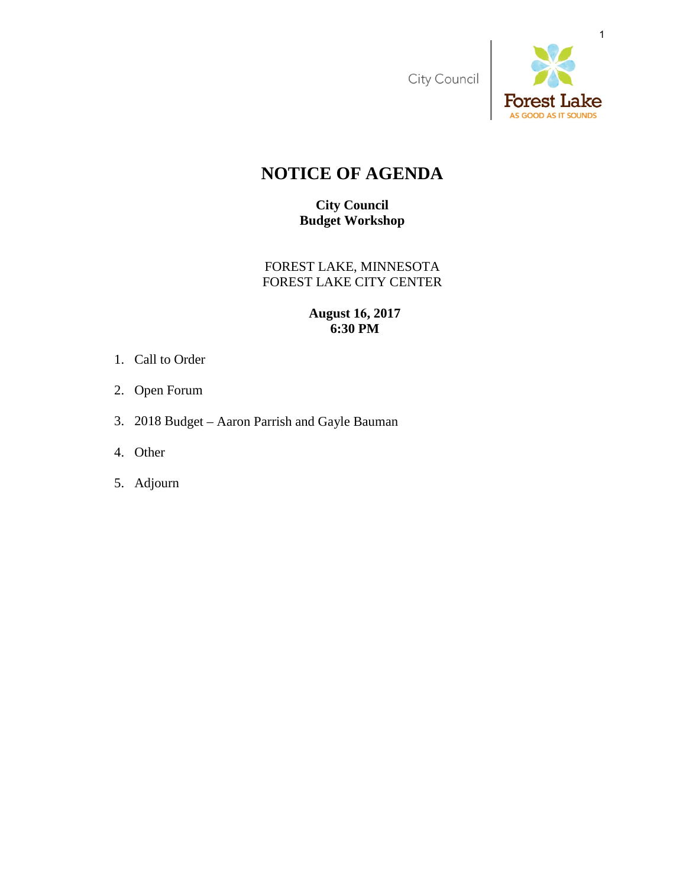City Council



# **NOTICE OF AGENDA**

**City Council Budget Workshop** 

FOREST LAKE, MINNESOTA FOREST LAKE CITY CENTER

## **August 16, 2017 6:30 PM**

- 1. Call to Order
- 2. Open Forum
- 3. 2018 Budget Aaron Parrish and Gayle Bauman
- 4. Other
- 5. Adjourn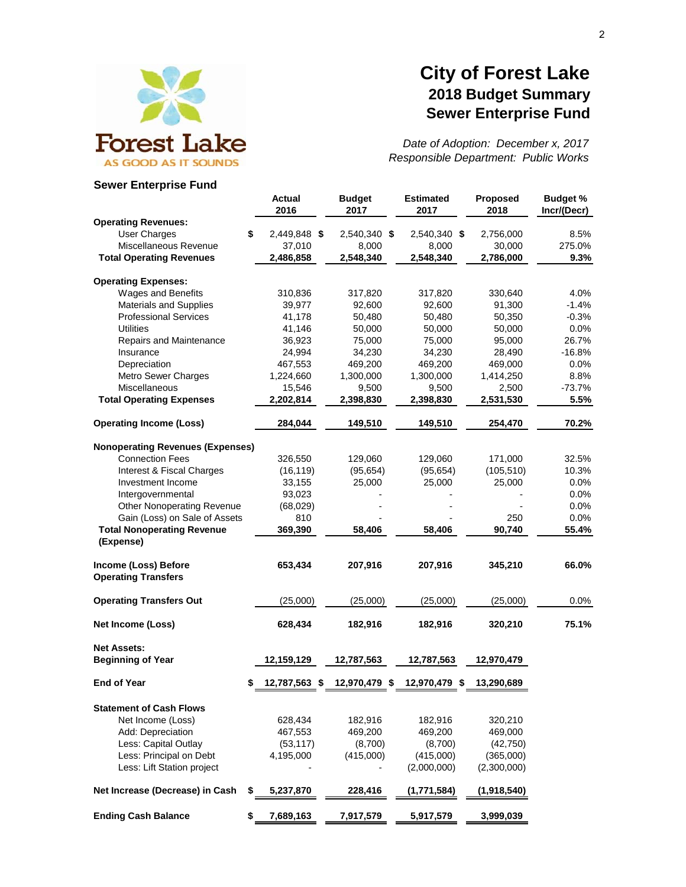

## **City of Forest Lake 2018 Budget Summary Sewer Enterprise Fund**

*Date of Adoption: December x, 2017 Responsible Department: Public Works*

#### **Sewer Enterprise Fund**

|                                                    | <b>Actual</b><br>2016 | <b>Budget</b><br>2017 | <b>Estimated</b><br>2017 | Proposed<br>2018 | <b>Budget %</b><br>Incr/(Decr) |
|----------------------------------------------------|-----------------------|-----------------------|--------------------------|------------------|--------------------------------|
| <b>Operating Revenues:</b>                         |                       |                       |                          |                  |                                |
| <b>User Charges</b>                                | \$<br>2,449,848 \$    | 2,540,340 \$          | 2,540,340 \$             | 2,756,000        | 8.5%                           |
| Miscellaneous Revenue                              | 37,010                | 8,000                 | 8,000                    | 30,000           | 275.0%                         |
| <b>Total Operating Revenues</b>                    | 2,486,858             | 2,548,340             | 2,548,340                | 2,786,000        | 9.3%                           |
| <b>Operating Expenses:</b>                         |                       |                       |                          |                  |                                |
| Wages and Benefits                                 | 310,836               | 317,820               | 317,820                  | 330,640          | 4.0%                           |
| <b>Materials and Supplies</b>                      | 39,977                | 92,600                | 92,600                   | 91,300           | $-1.4%$                        |
| <b>Professional Services</b>                       | 41,178                | 50,480                | 50,480                   | 50,350           | $-0.3%$                        |
| <b>Utilities</b>                                   | 41,146                | 50,000                | 50,000                   | 50,000           | 0.0%                           |
| Repairs and Maintenance                            | 36,923                | 75,000                | 75,000                   | 95,000           | 26.7%                          |
| Insurance                                          | 24,994                | 34,230                | 34,230                   | 28,490           | $-16.8%$                       |
| Depreciation                                       | 467,553               | 469,200               | 469,200                  | 469,000          | 0.0%                           |
| Metro Sewer Charges                                | 1,224,660             | 1,300,000             | 1,300,000                | 1,414,250        | 8.8%                           |
| Miscellaneous                                      | 15,546                | 9,500                 | 9,500                    | 2,500            | $-73.7%$                       |
| <b>Total Operating Expenses</b>                    | 2,202,814             | 2,398,830             | 2,398,830                | 2,531,530        | 5.5%                           |
| <b>Operating Income (Loss)</b>                     | 284,044               | 149,510               | 149,510                  | 254,470          | 70.2%                          |
| <b>Nonoperating Revenues (Expenses)</b>            |                       |                       |                          |                  |                                |
| <b>Connection Fees</b>                             | 326,550               | 129,060               | 129,060                  | 171,000          | 32.5%                          |
| Interest & Fiscal Charges                          | (16, 119)             | (95, 654)             | (95, 654)                | (105, 510)       | 10.3%                          |
| Investment Income                                  | 33,155                | 25,000                | 25,000                   | 25,000           | 0.0%                           |
| Intergovernmental                                  | 93,023                |                       |                          |                  | 0.0%                           |
| <b>Other Nonoperating Revenue</b>                  | (68,029)              |                       |                          |                  | 0.0%                           |
| Gain (Loss) on Sale of Assets                      | 810                   |                       |                          | 250              | 0.0%                           |
| <b>Total Nonoperating Revenue</b><br>(Expense)     | 369,390               | 58,406                | 58,406                   | 90,740           | 55.4%                          |
|                                                    |                       |                       |                          |                  |                                |
| Income (Loss) Before<br><b>Operating Transfers</b> | 653,434               | 207,916               | 207,916                  | 345,210          | 66.0%                          |
| <b>Operating Transfers Out</b>                     | (25,000)              | (25,000)              | (25,000)                 | (25,000)         | 0.0%                           |
| <b>Net Income (Loss)</b>                           | 628,434               | 182,916               | 182,916                  | 320,210          | 75.1%                          |
| <b>Net Assets:</b>                                 |                       |                       |                          |                  |                                |
| <b>Beginning of Year</b>                           | 12,159,129            | 12,787,563            | 12,787,563               | 12,970,479       |                                |
| <b>End of Year</b>                                 | 12,787,563 \$         | 12,970,479 \$         | 12,970,479 \$            | 13,290,689       |                                |
| <b>Statement of Cash Flows</b>                     |                       |                       |                          |                  |                                |
| Net Income (Loss)                                  | 628,434               | 182,916               | 182,916                  | 320,210          |                                |
| Add: Depreciation                                  | 467,553               | 469,200               | 469,200                  | 469,000          |                                |
| Less: Capital Outlay                               | (53, 117)             | (8,700)               | (8,700)                  | (42, 750)        |                                |
| Less: Principal on Debt                            | 4,195,000             | (415,000)             | (415,000)                | (365,000)        |                                |
| Less: Lift Station project                         |                       |                       | (2,000,000)              | (2,300,000)      |                                |
| Net Increase (Decrease) in Cash                    | S<br>5,237,870        | 228,416               | (1,771,584)              | (1,918,540)      |                                |
| <b>Ending Cash Balance</b>                         | 7,689,163<br>\$       | 7,917,579             | 5,917,579                | 3,999,039        |                                |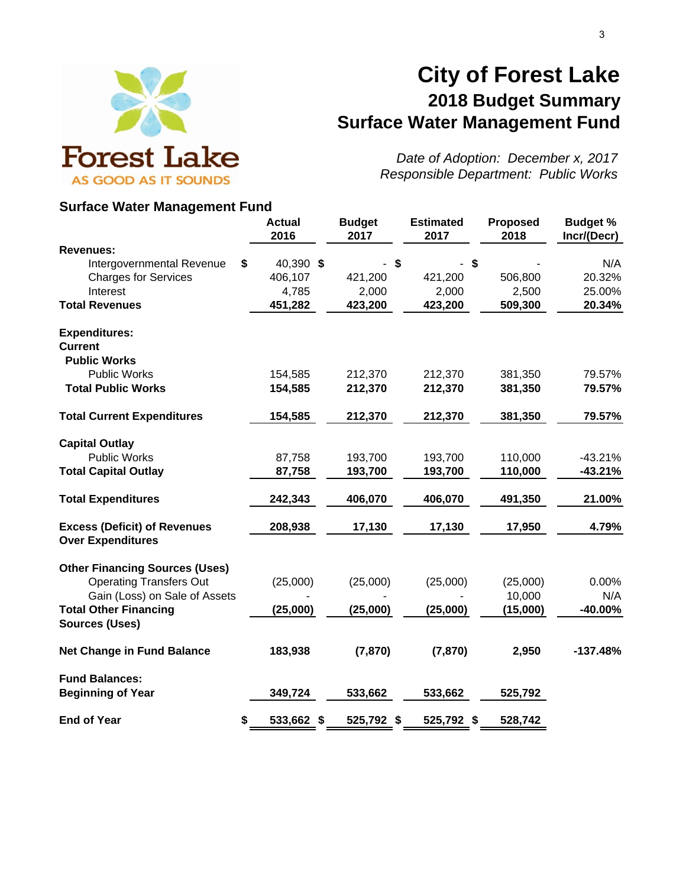

# **City of Forest Lake 2018 Budget Summary Surface Water Management Fund**

*Date of Adoption: December x, 2017*

### **Surface Water Management Fund**

|                                                       | <b>Actual</b><br>2016 | <b>Budget</b><br>2017 | <b>Estimated</b><br>2017 | <b>Proposed</b><br>2018 | <b>Budget %</b><br>Incr/(Decr) |
|-------------------------------------------------------|-----------------------|-----------------------|--------------------------|-------------------------|--------------------------------|
| <b>Revenues:</b>                                      |                       |                       |                          |                         |                                |
| Intergovernmental Revenue                             | \$<br>40,390 \$       | \$                    | \$                       |                         | N/A                            |
| <b>Charges for Services</b>                           | 406,107               | 421,200               | 421,200                  | 506,800                 | 20.32%                         |
| Interest                                              | 4,785                 | 2,000                 | 2,000                    | 2,500                   | 25.00%                         |
| <b>Total Revenues</b>                                 | 451,282               | 423,200               | 423,200                  | 509,300                 | 20.34%                         |
| <b>Expenditures:</b>                                  |                       |                       |                          |                         |                                |
| <b>Current</b>                                        |                       |                       |                          |                         |                                |
| <b>Public Works</b>                                   |                       |                       |                          |                         |                                |
| <b>Public Works</b>                                   | 154,585               | 212,370               | 212,370                  | 381,350                 | 79.57%                         |
| <b>Total Public Works</b>                             | 154,585               | 212,370               | 212,370                  | 381,350                 | 79.57%                         |
| <b>Total Current Expenditures</b>                     | 154,585               | 212,370               | 212,370                  | 381,350                 | 79.57%                         |
| <b>Capital Outlay</b>                                 |                       |                       |                          |                         |                                |
| <b>Public Works</b>                                   | 87,758                | 193,700               | 193,700                  | 110,000                 | $-43.21%$                      |
| <b>Total Capital Outlay</b>                           | 87,758                | 193,700               | 193,700                  | 110,000                 | $-43.21%$                      |
| <b>Total Expenditures</b>                             | 242,343               | 406,070               | 406,070                  | 491,350                 | 21.00%                         |
| <b>Excess (Deficit) of Revenues</b>                   | 208,938               | 17,130                | 17,130                   | 17,950                  | 4.79%                          |
| <b>Over Expenditures</b>                              |                       |                       |                          |                         |                                |
| <b>Other Financing Sources (Uses)</b>                 |                       |                       |                          |                         |                                |
| <b>Operating Transfers Out</b>                        | (25,000)              | (25,000)              | (25,000)                 | (25,000)                | 0.00%                          |
| Gain (Loss) on Sale of Assets                         |                       |                       |                          | 10,000                  | N/A                            |
| <b>Total Other Financing</b><br><b>Sources (Uses)</b> | (25,000)              | (25,000)              | (25,000)                 | (15,000)                | -40.00%                        |
|                                                       |                       |                       |                          |                         |                                |
| <b>Net Change in Fund Balance</b>                     | 183,938               | (7, 870)              | (7, 870)                 | 2,950                   | $-137.48%$                     |
| <b>Fund Balances:</b>                                 |                       |                       |                          |                         |                                |
| <b>Beginning of Year</b>                              | 349,724               | 533,662               | 533,662                  | 525,792                 |                                |
| <b>End of Year</b>                                    | \$<br>533,662 \$      | 525,792 \$            | 525,792 \$               | 528,742                 |                                |